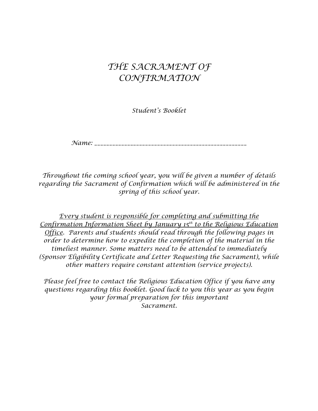# *THE SACRAMENT OF CONFIRMATION*

*Student's Booklet* 

*Name: \_\_\_\_\_\_\_\_\_\_\_\_\_\_\_\_\_\_\_\_\_\_\_\_\_\_\_\_\_\_\_\_\_\_\_\_\_\_\_\_\_\_\_\_\_\_\_\_\_\_\_* 

*Throughout the coming school year, you will be given a number of details regarding the Sacrament of Confirmation which will be administered in the spring of this school year.* 

*Every student is responsible for completing and submitting the Confirmation Information Sheet by January 15th to the Religious Education Office. Parents and students should read through the following pages in order to determine how to expedite the completion of the material in the timeliest manner. Some matters need to be attended to immediately (Sponsor Eligibility Certificate and Letter Requesting the Sacrament), while other matters require constant attention (service projects).* 

*Please feel free to contact the Religious Education Office if you have any questions regarding this booklet. Good luck to you this year as you begin your formal preparation for this important Sacrament.*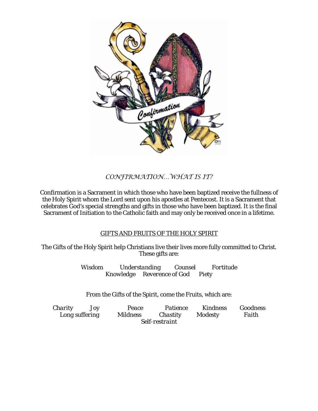

## *CONFIRMATION…WHAT IS IT?*

Confirmation is a Sacrament in which those who have been baptized receive the fullness of the Holy Spirit whom the Lord sent upon his apostles at Pentecost. It is a Sacrament that celebrates God's special strengths and gifts in those who have been baptized. It is the final Sacrament of Initiation to the Catholic faith and may only be received once in a lifetime.

## GIFTS AND FRUITS OF THE HOLY SPIRIT

The Gifts of the Holy Spirit help Christians live their lives more fully committed to Christ. These gifts are:

> *Wisdom Understanding Counsel Fortitude Knowledge Reverence of God Piety*

From the Gifts of the Spirit, come the Fruits, which are:

| Charity        | Jov | Peace           | <i>Patience</i> | Kindness       | Goodness |  |
|----------------|-----|-----------------|-----------------|----------------|----------|--|
| Long suffering |     | <i>Mildness</i> | Chastity        | <b>Modesty</b> | Faith    |  |
| Self-restraint |     |                 |                 |                |          |  |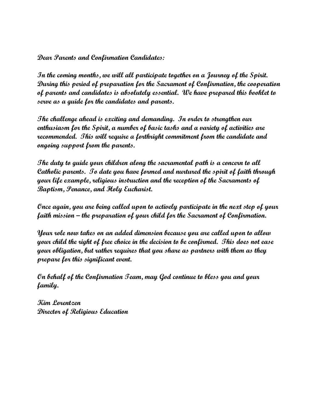**Dear Parents and Confirmation Candidates:** 

**In the coming months, we will all participate together on a Journey of the Spirit. During this period of preparation for the Sacrament of Confirmation, the cooperation of parents and candidates is absolutely essential. We have prepared this booklet to serve as a guide for the candidates and parents.** 

**The challenge ahead is exciting and demanding. In order to strengthen our enthusiasm for the Spirit, a number of basic tasks and a variety of activities are recommended. This will require a forthright commitment from the candidate and ongoing support from the parents.** 

**The duty to guide your children along the sacramental path is a concern to all Catholic parents. To date you have formed and nurtured the spirit of faith through your life example, religious instruction and the reception of the Sacraments of Baptism, Penance, and Holy Eucharist.**

**Once again, you are being called upon to actively participate in the next step of your faith mission – the preparation of your child for the Sacrament of Confirmation.** 

**Your role now takes on an added dimension because you are called upon to allow your child the right of free choice in the decision to be confirmed. This does not ease your obligation, but rather requires that you share as partners with them as they prepare for this significant event.** 

**On behalf of the Confirmation Team, may God continue to bless you and your family.** 

**Kim Lorentzen Director of Religious Education**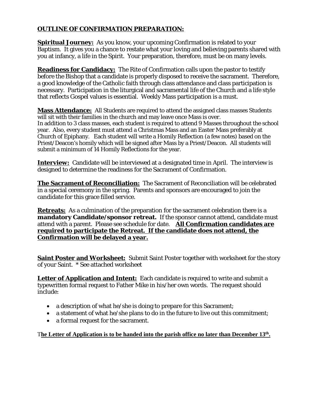## **OUTLINE OF CONFIRMATION PREPARATION:**

**Spiritual Journey:** As you know, your upcoming Confirmation is related to your Baptism. It gives you a chance to restate what your loving and believing parents shared with you at infancy, a life in the Spirit. Your preparation, therefore, must be on many levels.

**Readiness for Candidacy:** The Rite of Confirmation calls upon the pastor to testify before the Bishop that a candidate is properly disposed to receive the sacrament. Therefore, a good knowledge of the Catholic faith through class attendance and class participation is necessary. Participation in the liturgical and sacramental life of the Church and a life style that reflects Gospel values is essential. Weekly Mass participation is a must.

**Mass Attendance:** All Students are required to attend the assigned class masses Students will sit with their families in the church and may leave once Mass is over. In addition to 3 class masses, each student is required to attend 9 Masses throughout the school year. Also, every student must attend a Christmas Mass and an Easter Mass preferably at Church of Epiphany. Each student will write a Homily Reflection (a few notes) based on the Priest/Deacon's homily which will be signed after Mass by a Priest/Deacon. All students will submit a minimum of 14 Homily Reflections for the year.

**Interview:** Candidate will be interviewed at a designated time in April. The interview is designed to determine the readiness for the Sacrament of Confirmation.

**The Sacrament of Reconciliation:** The Sacrament of Reconciliation will be celebrated in a special ceremony in the spring. Parents and sponsors are encouraged to join the candidate for this grace filled service.

**Retreats:** As a culmination of the preparation for the sacrament celebration there is a **mandatory Candidate/sponsor retreat.** If the sponsor cannot attend, candidate must attend with a parent. Please see schedule for date. **All Confirmation candidates are required to participate the Retreat. If the candidate does not attend, the Confirmation will be delayed a year.** 

**Saint Poster and Worksheet:** Submit Saint Poster together with worksheet for the story of your Saint. \* See attached worksheet

**Letter of Application and Intent:** Each candidate is required to write and submit a typewritten formal request to Father Mike in his/her own words. The request should include:

- a description of what he/she is doing to prepare for this Sacrament;
- a statement of what he/she plans to do in the future to live out this commitment;
- a formal request for the sacrament.

T**he Letter of Application is to be handed into the parish office no later than December 13th .**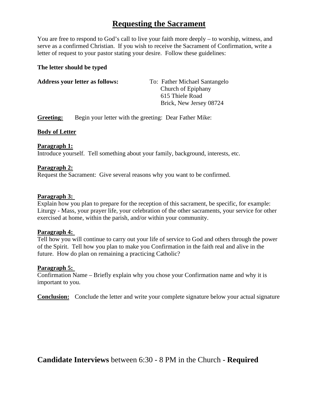# **Requesting the Sacrament**

You are free to respond to God's call to live your faith more deeply – to worship, witness, and serve as a confirmed Christian. If you wish to receive the Sacrament of Confirmation, write a letter of request to your pastor stating your desire. Follow these guidelines:

#### **The letter should be typed**

| <b>Address your letter as follows:</b> | To: Father Michael Santangelo |
|----------------------------------------|-------------------------------|
|                                        | Church of Epiphany            |
|                                        | 615 Thiele Road               |
|                                        | Brick, New Jersey 08724       |
|                                        |                               |

**Greeting:** Begin your letter with the greeting: Dear Father Mike:

## **Body of Letter**

#### **Paragraph 1:**

Introduce yourself. Tell something about your family, background, interests, etc.

#### **Paragraph 2:**

Request the Sacrament: Give several reasons why you want to be confirmed.

#### **Paragraph 3:**

Explain how you plan to prepare for the reception of this sacrament, be specific, for example: Liturgy - Mass, your prayer life, your celebration of the other sacraments, your service for other exercised at home, within the parish, and/or within your community.

#### **Paragraph 4:**

Tell how you will continue to carry out your life of service to God and others through the power of the Spirit. Tell how you plan to make you Confirmation in the faith real and alive in the future. How do plan on remaining a practicing Catholic?

#### **Paragraph 5:**

Confirmation Name – Briefly explain why you chose your Confirmation name and why it is important to you.

**Conclusion:** Conclude the letter and write your complete signature below your actual signature

**Candidate Interviews** between 6:30 - 8 PM in the Church - **Required**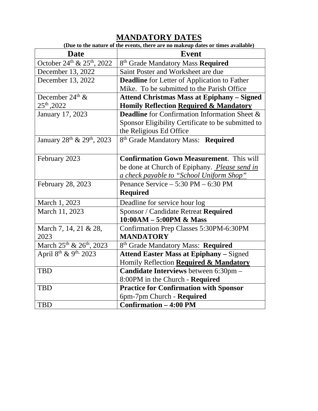# **MANDATORY DATES**

| (Due to the nature of the events, there are no makeup dates or times available) |                                                      |  |  |  |
|---------------------------------------------------------------------------------|------------------------------------------------------|--|--|--|
| <b>Date</b>                                                                     | <b>Event</b>                                         |  |  |  |
| October 24th & 25th, 2022                                                       | 8 <sup>th</sup> Grade Mandatory Mass <b>Required</b> |  |  |  |
| December 13, 2022                                                               | Saint Poster and Worksheet are due                   |  |  |  |
| December 13, 2022                                                               | <b>Deadline</b> for Letter of Application to Father  |  |  |  |
|                                                                                 | Mike. To be submitted to the Parish Office           |  |  |  |
| December 24 <sup>th</sup> &                                                     | <b>Attend Christmas Mass at Epiphany – Signed</b>    |  |  |  |
| 25 <sup>th</sup> , 2022                                                         | <b>Homily Reflection Required &amp; Mandatory</b>    |  |  |  |
| January 17, 2023                                                                | <b>Deadline</b> for Confirmation Information Sheet & |  |  |  |
|                                                                                 | Sponsor Eligibility Certificate to be submitted to   |  |  |  |
|                                                                                 | the Religious Ed Office                              |  |  |  |
| January 28 <sup>th</sup> & 29 <sup>th</sup> , 2023                              | 8 <sup>th</sup> Grade Mandatory Mass: Required       |  |  |  |
|                                                                                 |                                                      |  |  |  |
| February 2023                                                                   | <b>Confirmation Gown Measurement.</b> This will      |  |  |  |
|                                                                                 | be done at Church of Epiphany. Please send in        |  |  |  |
|                                                                                 | a check payable to "School Uniform Shop"             |  |  |  |
| February 28, 2023                                                               | Penance Service $-5:30$ PM $-6:30$ PM                |  |  |  |
|                                                                                 | <b>Required</b>                                      |  |  |  |
| March 1, 2023                                                                   | Deadline for service hour log                        |  |  |  |
| March 11, 2023                                                                  | Sponsor / Candidate Retreat Required                 |  |  |  |
|                                                                                 | $10:00AM - 5:00PM \& Mass$                           |  |  |  |
| March 7, 14, 21 & 28,                                                           | Confirmation Prep Classes 5:30PM-6:30PM              |  |  |  |
| 2023                                                                            | <b>MANDATORY</b>                                     |  |  |  |
| March 25th & 26th, 2023                                                         | 8 <sup>th</sup> Grade Mandatory Mass: Required       |  |  |  |
| April 8 <sup>th</sup> & 9 <sup>th,</sup> 2023                                   | <b>Attend Easter Mass at Epiphany - Signed</b>       |  |  |  |
|                                                                                 | Homily Reflection Required & Mandatory               |  |  |  |
| <b>TBD</b>                                                                      | Candidate Interviews between 6:30pm -                |  |  |  |
|                                                                                 | 8:00PM in the Church - Required                      |  |  |  |
| <b>TBD</b>                                                                      | <b>Practice for Confirmation with Sponsor</b>        |  |  |  |
|                                                                                 | 6pm-7pm Church - Required                            |  |  |  |
| <b>TBD</b>                                                                      | <b>Confirmation - 4:00 PM</b>                        |  |  |  |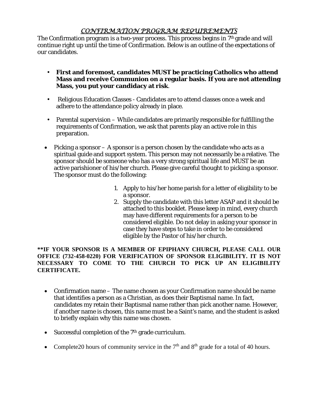## *CONFIRMATION PROGRAM REQUIREMENTS*

The Confirmation program is a two-year process. This process begins in 7<sup>th</sup> grade and will continue right up until the time of Confirmation. Below is an outline of the expectations of our candidates.

- **First and foremost, candidates MUST be practicing Catholics who attend Mass and receive Communion on a regular basis. If you are not attending Mass, you put your candidacy at risk**.
- Religious Education Classes Candidates are to attend classes once a week and adhere to the attendance policy already in place.
- Parental supervision While candidates are primarily responsible for fulfilling the requirements of Confirmation, we ask that parents play an active role in this preparation.
- Picking a sponsor  $-$  A sponsor is a person chosen by the candidate who acts as a spiritual guide and support system. This person may not necessarily be a relative. The sponsor should be someone who has a very strong spiritual life and MUST be an active parishioner of his/her church. Please give careful thought to picking a sponsor. The sponsor must do the following:
	- 1. Apply to his/her home parish for a letter of eligibility to be a sponsor.
	- 2. Supply the candidate with this letter ASAP and it should be attached to this booklet. Please keep in mind, every church may have different requirements for a person to be considered eligible. Do not delay in asking your sponsor in case they have steps to take in order to be considered eligible by the Pastor of his/her church.

**\*\*IF YOUR SPONSOR IS A MEMBER OF EPIPHANY CHURCH, PLEASE CALL OUR OFFICE (732-458-0220) FOR VERIFICATION OF SPONSOR ELIGIBILITY. IT IS NOT NECESSARY TO COME TO THE CHURCH TO PICK UP AN ELIGIBILITY CERTIFICATE.** 

- Confirmation name The name chosen as your Confirmation name should be name that identifies a person as a Christian, as does their Baptismal name. In fact, candidates my retain their Baptismal name rather than pick another name. However, if another name is chosen, this name must be a Saint's name, and the student is asked to briefly explain why this name was chosen.
- $\bullet$  Successful completion of the 7<sup>th</sup> grade curriculum.
- Complete20 hours of community service in the  $7<sup>th</sup>$  and  $8<sup>th</sup>$  grade for a total of 40 hours.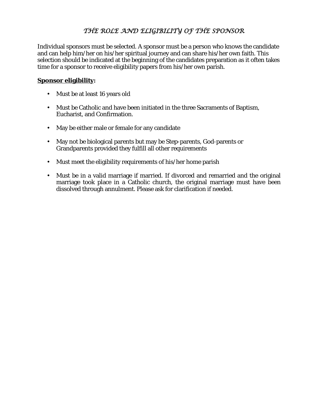## *THE ROLE AND ELIGIBILITY OF THE SPONSOR*

Individual sponsors must be selected. A sponsor must be a person who knows the candidate and can help him/her on his/her spiritual journey and can share his/her own faith. This selection should be indicated at the beginning of the candidates preparation as it often takes time for a sponsor to receive eligibility papers from his/her own parish.

## **Sponsor eligibility:**

- Must be at least 16 years old
- Must be Catholic and have been initiated in the three Sacraments of Baptism, Eucharist, and Confirmation.
- May be either male or female for any candidate
- May not be biological parents but may be Step-parents, God-parents or Grandparents provided they fulfill all other requirements
- Must meet the eligibility requirements of his/her home parish
- Must be in a valid marriage if married. If divorced and remarried and the original marriage took place in a Catholic church, the original marriage must have been dissolved through annulment. Please ask for clarification if needed.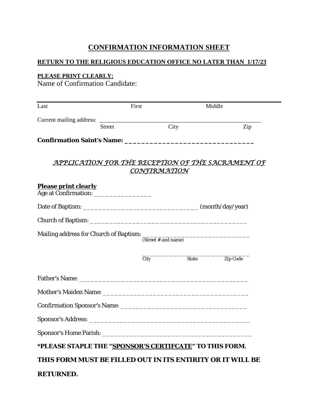## **CONFIRMATION INFORMATION SHEET**

## **RETURN TO THE RELIGIOUS EDUCATION OFFICE NO LATER THAN 1/17/23**

#### **PLEASE PRINT CLEARLY:**

Name of Confirmation Candidate:

| Last                                                       | First |                     | Middle   |
|------------------------------------------------------------|-------|---------------------|----------|
|                                                            |       |                     |          |
| <b>Street</b>                                              |       | City                | Zip      |
|                                                            |       |                     |          |
|                                                            |       |                     |          |
| <u>APPLICATION FOR THE RECEPTION OF THE SACRAMENT OF</u>   |       |                     |          |
|                                                            |       | <u>CONFIRMATION</u> |          |
| <b>Please print clearly</b>                                |       |                     |          |
|                                                            |       |                     |          |
|                                                            |       |                     |          |
|                                                            |       |                     |          |
|                                                            |       |                     |          |
|                                                            |       | (Street # and name) |          |
|                                                            | City  | State               | Zip Code |
|                                                            |       |                     |          |
|                                                            |       |                     |          |
|                                                            |       |                     |          |
|                                                            |       |                     |          |
|                                                            |       |                     |          |
|                                                            |       |                     |          |
| *PLEASE STAPLE THE "SPONSOR'S CERTIFCATE" TO THIS FORM.    |       |                     |          |
| THIS FORM MUST BE FILLED OUT IN ITS ENTIRITY OR IT WILL BE |       |                     |          |
| <b>RETURNED.</b>                                           |       |                     |          |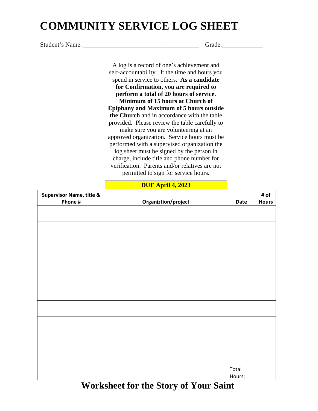# **COMMUNITY SERVICE LOG SHEET**

Student's Name: \_\_\_\_\_\_\_\_\_\_\_\_\_\_\_\_\_\_\_\_\_\_\_\_\_\_\_\_\_\_\_\_\_\_\_\_\_ Grade:\_\_\_\_\_\_\_\_\_\_\_\_\_

A log is a record of one's achievement and self-accountability. It the time and hours you spend in service to others. **As a candidate for Confirmation, you are required to perform a total of 20 hours of service. Minimum of 15 hours at Church of Epiphany and Maximum of 5 hours outside the Church** and in accordance with the table provided. Please review the table carefully to make sure you are volunteering at an approved organization. Service hours must be performed with a supervised organization the log sheet must be signed by the person in charge, include title and phone number for verification. Parents and/or relatives are not permitted to sign for service hours.

## **DUE April 4, 2023**

| <b>Supervisor Name, title &amp;</b><br>Phone # | Organiztion/project | Date            | # of<br><b>Hours</b> |
|------------------------------------------------|---------------------|-----------------|----------------------|
|                                                |                     |                 |                      |
|                                                |                     |                 |                      |
|                                                |                     |                 |                      |
|                                                |                     |                 |                      |
|                                                |                     |                 |                      |
|                                                |                     |                 |                      |
|                                                |                     |                 |                      |
|                                                |                     |                 |                      |
|                                                |                     |                 |                      |
|                                                |                     |                 |                      |
|                                                |                     | Total<br>Hours: |                      |

 **Worksheet for the Story of Your Saint**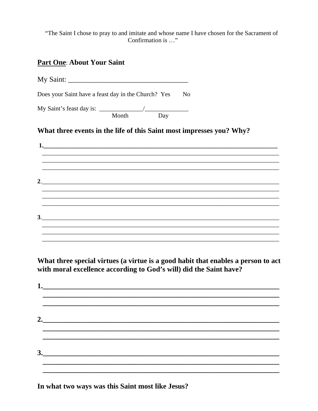"The Saint I chose to pray to and imitate and whose name I have chosen for the Sacrament of Confirmation is ..."

## **Part One: About Your Saint**

My Saint:

Does your Saint have a feast day in the Church? Yes No

Month Day

## What three events in the life of this Saint most impresses you? Why?

 $\mathbf{1}$ <u> 1989 - Johann Stoff, deutscher Stoff, der Stoff, der Stoff, der Stoff, der Stoff, der Stoff, der Stoff, der S</u>  $3.$ 

What three special virtues (a virtue is a good habit that enables a person to act with moral excellence according to God's will) did the Saint have?

| $\begin{array}{c c c c c} \hline \rule{0pt}{16pt} \multicolumn{3}{c }{3.} & \multicolumn{3}{c }{\textbf{1}} \\ \hline \end{array}$ |  |  |  |
|------------------------------------------------------------------------------------------------------------------------------------|--|--|--|
|                                                                                                                                    |  |  |  |

In what two ways was this Saint most like Jesus?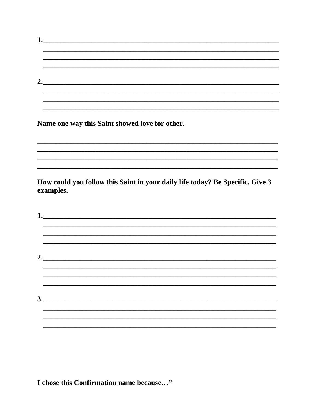Name one way this Saint showed love for other.

How could you follow this Saint in your daily life today? Be Specific. Give 3 examples.

 $1.$   $\blacksquare$  $2.$  $3.$ 

I chose this Confirmation name because..."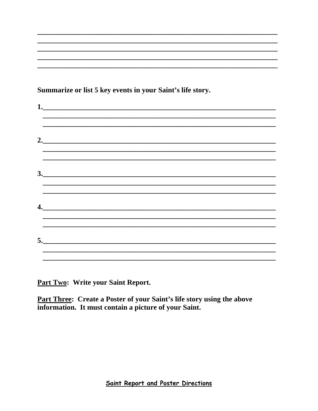Summarize or list 5 key events in your Saint's life story.

| 3.                                                                                |  |
|-----------------------------------------------------------------------------------|--|
|                                                                                   |  |
|                                                                                   |  |
| $\mathbf{4.}$                                                                     |  |
|                                                                                   |  |
|                                                                                   |  |
|                                                                                   |  |
| ,我们也不能会有什么。""我们的人,我们也不能会有什么?""我们的人,我们也不能会有什么?""我们的人,我们也不能会有什么?""我们的人,我们也不能会有什么?"" |  |
|                                                                                   |  |

Part Two: Write your Saint Report.

**Part Three: Create a Poster of your Saint's life story using the above** information. It must contain a picture of your Saint.